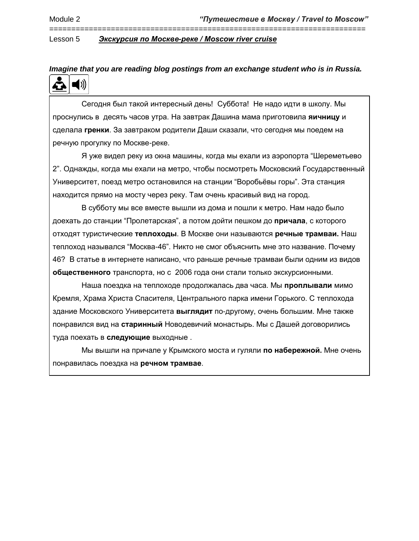## *Imagine that you are reading blog postings from an exchange student who is in Russia.*  $\blacktriangleleft$  ))

========================================================================

 Сегодня был такой интересный день! Суббота! Не надо идти в школу. Мы проснулись в десять часов утра. На завтрак Дашина мама приготовила **яичницу** и сделала **гренки**. За завтраком родители Даши сказали, что сегодня мы поедем на речную прогулку по Москве-реке.

 Я уже видел реку из окна машины, когда мы ехали из аэропорта "Шереметьево 2". Однажды, когда мы ехали на метро, чтобы посмотреть Московский Государственный Университет, поезд метро остановился на станции "Воробьёвы горы". Эта станция находится прямо на мосту через реку. Там очень красивый вид на город.

 В субботу мы все вместе вышли из дома и пошли к метро. Нам надо было доехать до станции "Пролетарская", а потом дойти пешком до **причала**, с которого отходят туристические **теплоходы**. В Москве они называются **речные трамваи.** Наш теплоход назывался "Москва-46". Никто не смог объяснить мне это название. Почему 46? В статье в интернете написано, что раньше речные трамваи были одним из видов **общественного** транспорта, но с 2006 года они стали только экскурсионными.

 Наша поездка на теплоходе продолжалась два часа. Мы **проплывали** мимо Кремля, Храма Христа Спасителя, Центрального парка имени Горького. С теплохода здание Московского Университета **выглядит** по-другому, очень большим. Мне также понравился вид на **старинный** Новодевичий монастырь. Мы с Дашей договорились туда поехать в **следующие** выходные .

 Мы вышли на причале у Крымского моста и гуляли **по набережной.** Мне очень понравилась поездка на **речном трамвае**.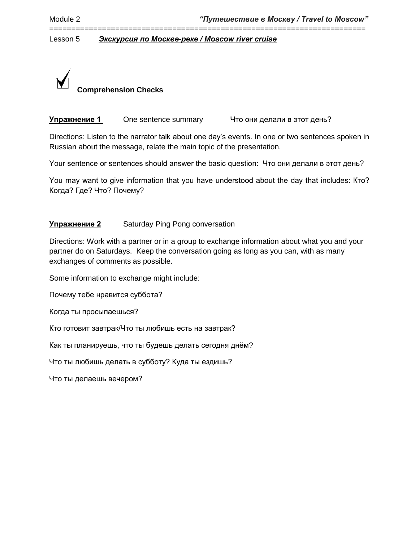========================================================================

Lesson 5 *Экскурсия по Москве-реке / Moscow river cruise*



**Упражнение 1** One sentence summary Что они делали в этот день?

Directions: Listen to the narrator talk about one day's events. In one or two sentences spoken in Russian about the message, relate the main topic of the presentation.

Your sentence or sentences should answer the basic question: Что они делали в этот день?

You may want to give information that you have understood about the day that includes: Кто? Когда? Где? Что? Почему?

### **Упражнение 2** Saturday Ping Pong conversation

Directions: Work with a partner or in a group to exchange information about what you and your partner do on Saturdays. Keep the conversation going as long as you can, with as many exchanges of comments as possible.

Some information to exchange might include:

Почему тебе нравится суббота?

Когда ты просыпаешься?

Кто готовит завтрак/Что ты любишь есть на завтрак?

Как ты планируешь, что ты будешь делать сегодня днём?

Что ты любишь делать в субботу? Куда ты ездишь?

Что ты делаешь вечером?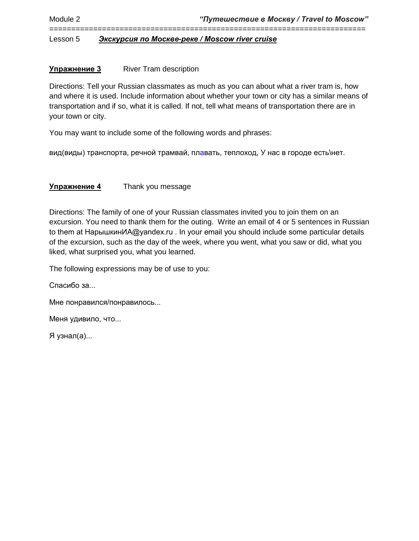#### **Упражнение 3** River Tram description

Directions: Tell your Russian classmates as much as you can about what a river tram is, how and where it is used. Include information about whether your town or city has a similar means of transportation and if so, what it is called. If not, tell what means of transportation there are in your town or city.

========================================================================

You may want to include some of the following words and phrases:

вид(виды) транспорта, речной трамвай, плавать, теплоход, У нас в городе есть\нет.

#### **Упражнение 4** Thank you message

Directions: The family of one of your Russian classmates invited you to join them on an excursion. You need to thank them for the outing. Write an email of 4 or 5 sentences in Russian to them at НарышкинИА@yandex.ru . In your email you should include some particular details of the excursion, such as the day of the week, where you went, what you saw or did, what you liked, what surprised you, what you learned.

The following expressions may be of use to you:

Спасибо за...

Мне понравился/понравилось...

Меня удивило, что...

Я узнал(а)...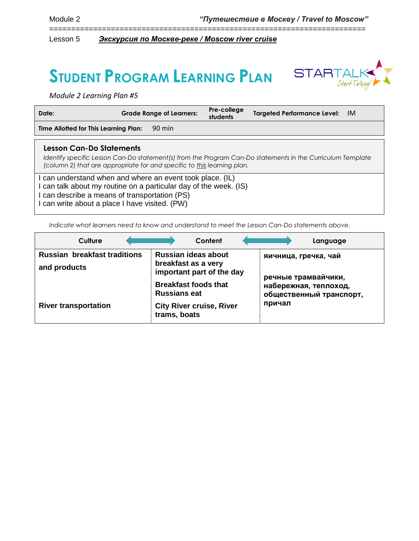# **STUDENT PROGRAM LEARNING PLAN**



*Module 2 Learning Plan #5*

| Date:                                                                                                                                                                                                                       | <b>Grade Range of Learners:</b> | Pre-college<br>students | <b>Targeted Performance Level:</b><br>-IM |  |
|-----------------------------------------------------------------------------------------------------------------------------------------------------------------------------------------------------------------------------|---------------------------------|-------------------------|-------------------------------------------|--|
| Time Allotted for This Learning Plan:                                                                                                                                                                                       | 90 min                          |                         |                                           |  |
| <b>Lesson Can-Do Statements</b><br>Identify specific Lesson Can-Do statement(s) from the Program Can-Do statements in the Curriculum Template<br>(column 2) that are appropriate for and specific to this learning plan.    |                                 |                         |                                           |  |
| can understand when and where an event took place. (IL)<br>can talk about my routine on a particular day of the week. (IS)<br>can describe a means of transportation (PS)<br>I can write about a place I have visited. (PW) |                                 |                         |                                           |  |

========================================================================

*Indicate what learners need to know and understand to meet the Lesson Can-Do statements above.* 

| Culture                                             | Content                                                                        | Language                                         |
|-----------------------------------------------------|--------------------------------------------------------------------------------|--------------------------------------------------|
| <b>Russian breakfast traditions</b><br>and products | <b>Russian ideas about</b><br>breakfast as a very<br>important part of the day | яичница, гречка, чай<br>речные трамвайчики,      |
|                                                     | <b>Breakfast foods that</b><br><b>Russians eat</b>                             | набережная, теплоход,<br>общественный транспорт, |
| <b>River transportation</b>                         | <b>City River cruise, River</b><br>trams, boats                                | причал                                           |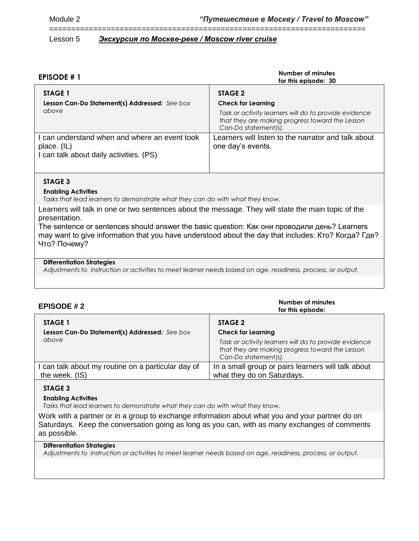======================================================================== Lesson 5 *Экскурсия по Москве-реке / Moscow river cruise*

| <b>EPISODE #1</b>                                                                                       | <b>Number of minutes</b><br>for this episode: 30                                                                                                                         |
|---------------------------------------------------------------------------------------------------------|--------------------------------------------------------------------------------------------------------------------------------------------------------------------------|
| STAGE 1<br>Lesson Can-Do Statement(s) Addressed: See box<br>above                                       | STAGE 2<br><b>Check for Learning</b><br>Task or activity learners will do to provide evidence<br>that they are making progress toward the Lesson<br>Can-Do statement(s). |
| I can understand when and where an event took<br>place. (IL)<br>I can talk about daily activities. (PS) | Learners will listen to the narrator and talk about<br>one day's events.                                                                                                 |

#### **STAGE 3**

#### **Enabling Activities**

*Tasks that lead learners to demonstrate what they can do with what they know.*

Learners will talk in one or two sentences about the message. They will state the main topic of the presentation.

The sentence or sentences should answer the basic question: Как они проводили день? Learners may want to give information that you have understood about the day that includes: Кто? Когда? Где? Что? Почему?

#### **Differentiation Strategies**

*Adjustments to instruction or activities to meet learner needs based on age, readiness, process, or output.*

| <b>EPISODE #2</b>                                                    | Number of minutes<br>for this episode:                                                                                           |
|----------------------------------------------------------------------|----------------------------------------------------------------------------------------------------------------------------------|
| STAGE 1<br>Lesson Can-Do Statement(s) Addressed: See box             | STAGE 2<br><b>Check for Learning</b>                                                                                             |
| above                                                                | Task or activity learners will do to provide evidence<br>that they are making progress toward the Lesson<br>Can-Do statement(s). |
| I can talk about my routine on a particular day of<br>the week. (IS) | In a small group or pairs learners will talk about<br>what they do on Saturdays.                                                 |
|                                                                      |                                                                                                                                  |

#### **STAGE 3**

#### **Enabling Activities**

*Tasks that lead learners to demonstrate what they can do with what they know.*

Work with a partner or in a group to exchange information about what you and your partner do on Saturdays. Keep the conversation going as long as you can, with as many exchanges of comments as possible.

#### **Differentiation Strategies**

*Adjustments to instruction or activities to meet learner needs based on age, readiness, process, or output.*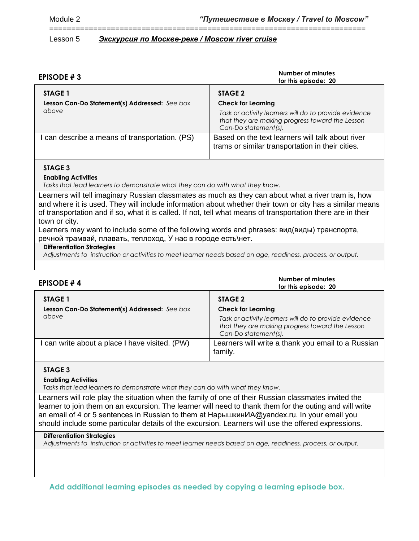======================================================================== Lesson 5 *Экскурсия по Москве-реке / Moscow river cruise*

| EPISODE #3                                             | Number of minutes<br>for this episode: 20                                                                                                                     |  |
|--------------------------------------------------------|---------------------------------------------------------------------------------------------------------------------------------------------------------------|--|
| STAGE 1                                                | STAGE 2                                                                                                                                                       |  |
| Lesson Can-Do Statement(s) Addressed: See box<br>above | <b>Check for Learning</b><br>Task or activity learners will do to provide evidence<br>that they are making progress toward the Lesson<br>Can-Do statement(s). |  |
| can describe a means of transportation. (PS)           | Based on the text learners will talk about river<br>trams or similar transportation in their cities.                                                          |  |

#### **STAGE 3**

#### **Enabling Activities**

*Tasks that lead learners to demonstrate what they can do with what they know.*

Learners will tell imaginary Russian classmates as much as they can about what a river tram is, how and where it is used. They will include information about whether their town or city has a similar means of transportation and if so, what it is called. If not, tell what means of transportation there are in their town or city.

Learners may want to include some of the following words and phrases: вид(виды) транспорта, речной трамвай, плавать, теплоход, У нас в городе есть\нет.

#### **Differentiation Strategies**

*Adjustments to instruction or activities to meet learner needs based on age, readiness, process, or output.*

| <b>EPISODE #4</b>                                        | Number of minutes<br>for this episode: 20                                                                                        |
|----------------------------------------------------------|----------------------------------------------------------------------------------------------------------------------------------|
| STAGE 1<br>Lesson Can-Do Statement(s) Addressed: See box | STAGE 2<br><b>Check for Learning</b>                                                                                             |
| above                                                    | Task or activity learners will do to provide evidence<br>that they are making progress toward the Lesson<br>Can-Do statement(s). |
| can write about a place I have visited. (PW)             | Learners will write a thank you email to a Russian<br>family.                                                                    |

#### **STAGE 3**

#### **Enabling Activities**

*Tasks that lead learners to demonstrate what they can do with what they know.*

Learners will role play the situation when the family of one of their Russian classmates invited the learner to join them on an excursion. The learner will need to thank them for the outing and will write an email of 4 or 5 sentences in Russian to them at НарышкинИА@yandex.ru. In your email you should include some particular details of the excursion. Learners will use the offered expressions.

#### **Differentiation Strategies**

*Adjustments to instruction or activities to meet learner needs based on age, readiness, process, or output.*

**Add additional learning episodes as needed by copying a learning episode box.**